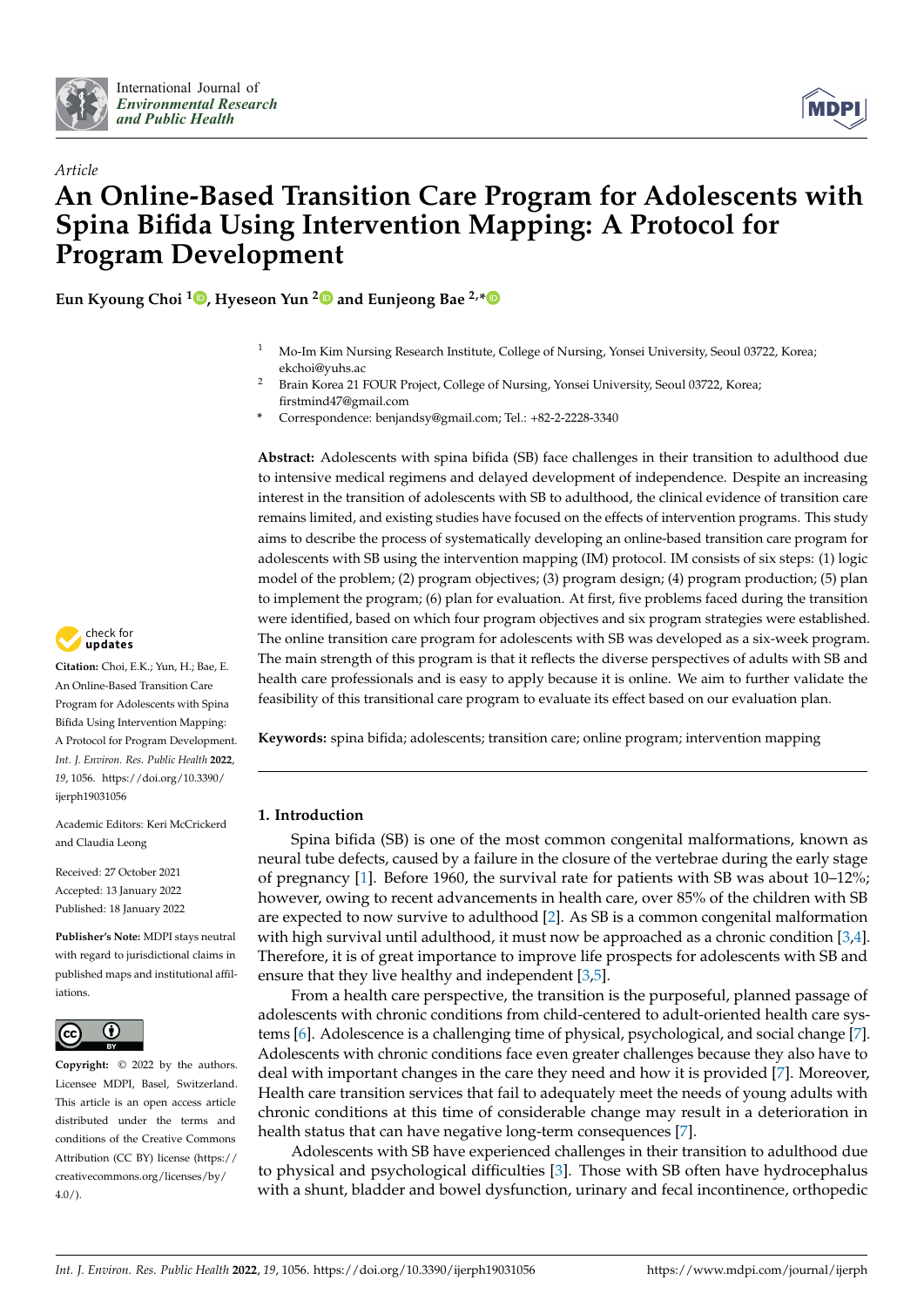



# *Article* **An Online-Based Transition Care Program for Adolescents with Spina Bifida Using Intervention Mapping: A Protocol for Program Development**

**Eun Kyoung Choi [1](https://orcid.org/0000-0003-4622-2437) , Hyeseon Yun [2](https://orcid.org/0000-0002-9272-8562) and Eunjeong Bae 2,[\\*](https://orcid.org/0000-0003-1583-8933)**

- <sup>1</sup> Mo-Im Kim Nursing Research Institute, College of Nursing, Yonsei University, Seoul 03722, Korea; ekchoi@yuhs.ac
- <sup>2</sup> Brain Korea 21 FOUR Project, College of Nursing, Yonsei University, Seoul 03722, Korea; firstmind47@gmail.com
- **\*** Correspondence: benjandsy@gmail.com; Tel.: +82-2-2228-3340

**Abstract:** Adolescents with spina bifida (SB) face challenges in their transition to adulthood due to intensive medical regimens and delayed development of independence. Despite an increasing interest in the transition of adolescents with SB to adulthood, the clinical evidence of transition care remains limited, and existing studies have focused on the effects of intervention programs. This study aims to describe the process of systematically developing an online-based transition care program for adolescents with SB using the intervention mapping (IM) protocol. IM consists of six steps: (1) logic model of the problem; (2) program objectives; (3) program design; (4) program production; (5) plan to implement the program; (6) plan for evaluation. At first, five problems faced during the transition were identified, based on which four program objectives and six program strategies were established. The online transition care program for adolescents with SB was developed as a six-week program. The main strength of this program is that it reflects the diverse perspectives of adults with SB and health care professionals and is easy to apply because it is online. We aim to further validate the feasibility of this transitional care program to evaluate its effect based on our evaluation plan.

**Keywords:** spina bifida; adolescents; transition care; online program; intervention mapping

# **1. Introduction**

Spina bifida (SB) is one of the most common congenital malformations, known as neural tube defects, caused by a failure in the closure of the vertebrae during the early stage of pregnancy [\[1\]](#page-10-0). Before 1960, the survival rate for patients with SB was about 10–12%; however, owing to recent advancements in health care, over 85% of the children with SB are expected to now survive to adulthood [\[2\]](#page-10-1). As SB is a common congenital malformation with high survival until adulthood, it must now be approached as a chronic condition [\[3](#page-10-2)[,4\]](#page-10-3). Therefore, it is of great importance to improve life prospects for adolescents with SB and ensure that they live healthy and independent [\[3,](#page-10-2)[5\]](#page-10-4).

From a health care perspective, the transition is the purposeful, planned passage of adolescents with chronic conditions from child-centered to adult-oriented health care systems [\[6\]](#page-10-5). Adolescence is a challenging time of physical, psychological, and social change [\[7\]](#page-10-6). Adolescents with chronic conditions face even greater challenges because they also have to deal with important changes in the care they need and how it is provided [\[7\]](#page-10-6). Moreover, Health care transition services that fail to adequately meet the needs of young adults with chronic conditions at this time of considerable change may result in a deterioration in health status that can have negative long-term consequences [\[7\]](#page-10-6).

Adolescents with SB have experienced challenges in their transition to adulthood due to physical and psychological difficulties [\[3\]](#page-10-2). Those with SB often have hydrocephalus with a shunt, bladder and bowel dysfunction, urinary and fecal incontinence, orthopedic



**Citation:** Choi, E.K.; Yun, H.; Bae, E. An Online-Based Transition Care Program for Adolescents with Spina Bifida Using Intervention Mapping: A Protocol for Program Development. *Int. J. Environ. Res. Public Health* **2022**, *19*, 1056. [https://doi.org/10.3390/](https://doi.org/10.3390/ijerph19031056) [ijerph19031056](https://doi.org/10.3390/ijerph19031056)

Academic Editors: Keri McCrickerd and Claudia Leong

Received: 27 October 2021 Accepted: 13 January 2022 Published: 18 January 2022

**Publisher's Note:** MDPI stays neutral with regard to jurisdictional claims in published maps and institutional affiliations.



**Copyright:** © 2022 by the authors. Licensee MDPI, Basel, Switzerland. This article is an open access article distributed under the terms and conditions of the Creative Commons Attribution (CC BY) license [\(https://](https://creativecommons.org/licenses/by/4.0/) [creativecommons.org/licenses/by/](https://creativecommons.org/licenses/by/4.0/)  $4.0/$ ).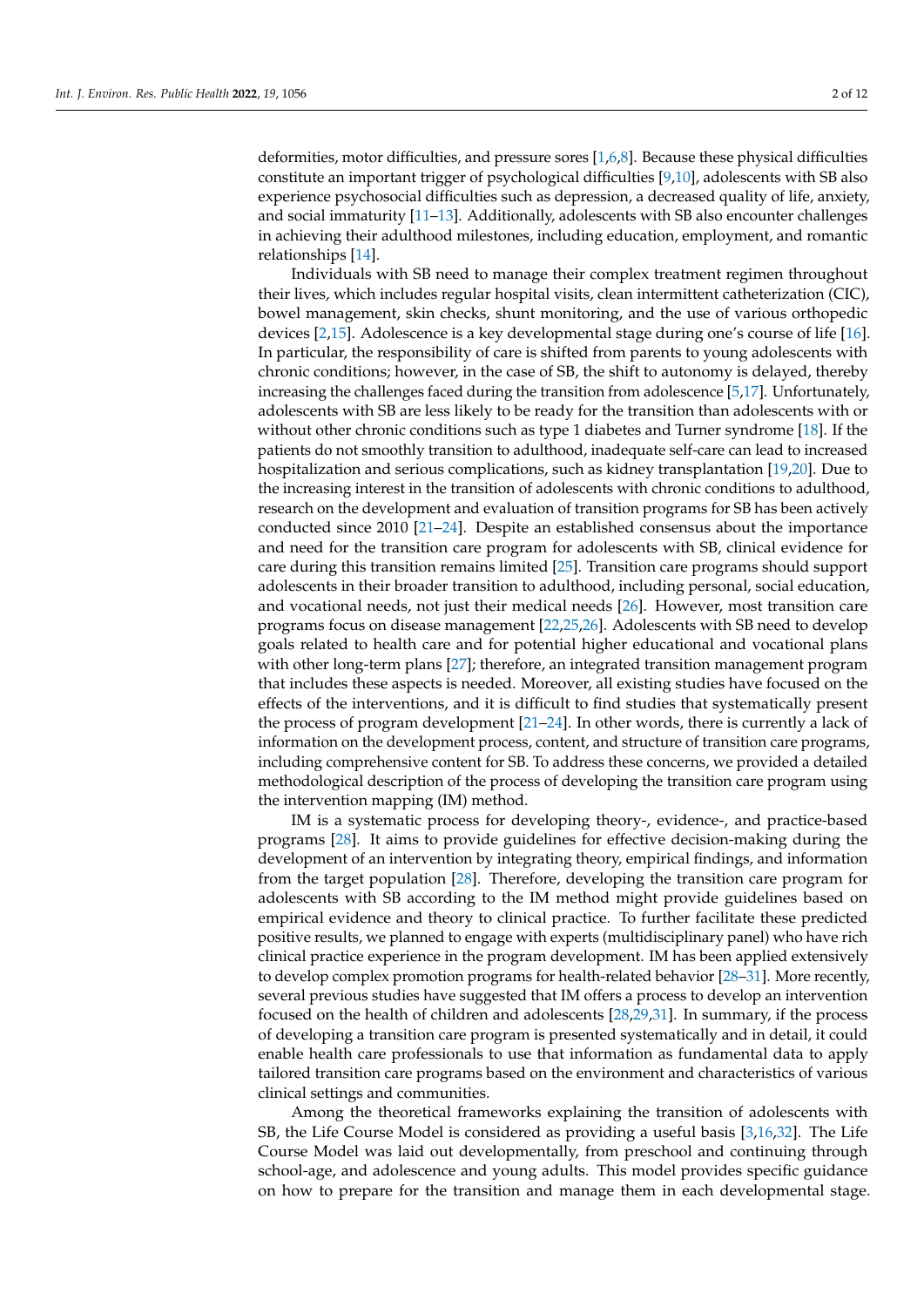deformities, motor difficulties, and pressure sores [\[1,](#page-10-0)[6,](#page-10-5)[8\]](#page-10-7). Because these physical difficulties constitute an important trigger of psychological difficulties [\[9,](#page-10-8)[10\]](#page-10-9), adolescents with SB also experience psychosocial difficulties such as depression, a decreased quality of life, anxiety, and social immaturity [\[11](#page-10-10)[–13\]](#page-10-11). Additionally, adolescents with SB also encounter challenges in achieving their adulthood milestones, including education, employment, and romantic relationships [\[14\]](#page-10-12).

Individuals with SB need to manage their complex treatment regimen throughout their lives, which includes regular hospital visits, clean intermittent catheterization (CIC), bowel management, skin checks, shunt monitoring, and the use of various orthopedic devices [\[2,](#page-10-1)[15\]](#page-10-13). Adolescence is a key developmental stage during one's course of life [\[16\]](#page-10-14). In particular, the responsibility of care is shifted from parents to young adolescents with chronic conditions; however, in the case of SB, the shift to autonomy is delayed, thereby increasing the challenges faced during the transition from adolescence [\[5,](#page-10-4)[17\]](#page-10-15). Unfortunately, adolescents with SB are less likely to be ready for the transition than adolescents with or without other chronic conditions such as type 1 diabetes and Turner syndrome [\[18\]](#page-10-16). If the patients do not smoothly transition to adulthood, inadequate self-care can lead to increased hospitalization and serious complications, such as kidney transplantation [\[19](#page-10-17)[,20\]](#page-10-18). Due to the increasing interest in the transition of adolescents with chronic conditions to adulthood, research on the development and evaluation of transition programs for SB has been actively conducted since 2010 [\[21–](#page-10-19)[24\]](#page-10-20). Despite an established consensus about the importance and need for the transition care program for adolescents with SB, clinical evidence for care during this transition remains limited [\[25\]](#page-10-21). Transition care programs should support adolescents in their broader transition to adulthood, including personal, social education, and vocational needs, not just their medical needs [\[26\]](#page-11-0). However, most transition care programs focus on disease management [\[22,](#page-10-22)[25,](#page-10-21)[26\]](#page-11-0). Adolescents with SB need to develop goals related to health care and for potential higher educational and vocational plans with other long-term plans [\[27\]](#page-11-1); therefore, an integrated transition management program that includes these aspects is needed. Moreover, all existing studies have focused on the effects of the interventions, and it is difficult to find studies that systematically present the process of program development [\[21](#page-10-19)[–24\]](#page-10-20). In other words, there is currently a lack of information on the development process, content, and structure of transition care programs, including comprehensive content for SB. To address these concerns, we provided a detailed methodological description of the process of developing the transition care program using the intervention mapping (IM) method.

IM is a systematic process for developing theory-, evidence-, and practice-based programs [\[28\]](#page-11-2). It aims to provide guidelines for effective decision-making during the development of an intervention by integrating theory, empirical findings, and information from the target population [\[28\]](#page-11-2). Therefore, developing the transition care program for adolescents with SB according to the IM method might provide guidelines based on empirical evidence and theory to clinical practice. To further facilitate these predicted positive results, we planned to engage with experts (multidisciplinary panel) who have rich clinical practice experience in the program development. IM has been applied extensively to develop complex promotion programs for health-related behavior [\[28–](#page-11-2)[31\]](#page-11-3). More recently, several previous studies have suggested that IM offers a process to develop an intervention focused on the health of children and adolescents [\[28,](#page-11-2)[29,](#page-11-4)[31\]](#page-11-3). In summary, if the process of developing a transition care program is presented systematically and in detail, it could enable health care professionals to use that information as fundamental data to apply tailored transition care programs based on the environment and characteristics of various clinical settings and communities.

Among the theoretical frameworks explaining the transition of adolescents with SB, the Life Course Model is considered as providing a useful basis [\[3,](#page-10-2)[16,](#page-10-14)[32\]](#page-11-5). The Life Course Model was laid out developmentally, from preschool and continuing through school-age, and adolescence and young adults. This model provides specific guidance on how to prepare for the transition and manage them in each developmental stage.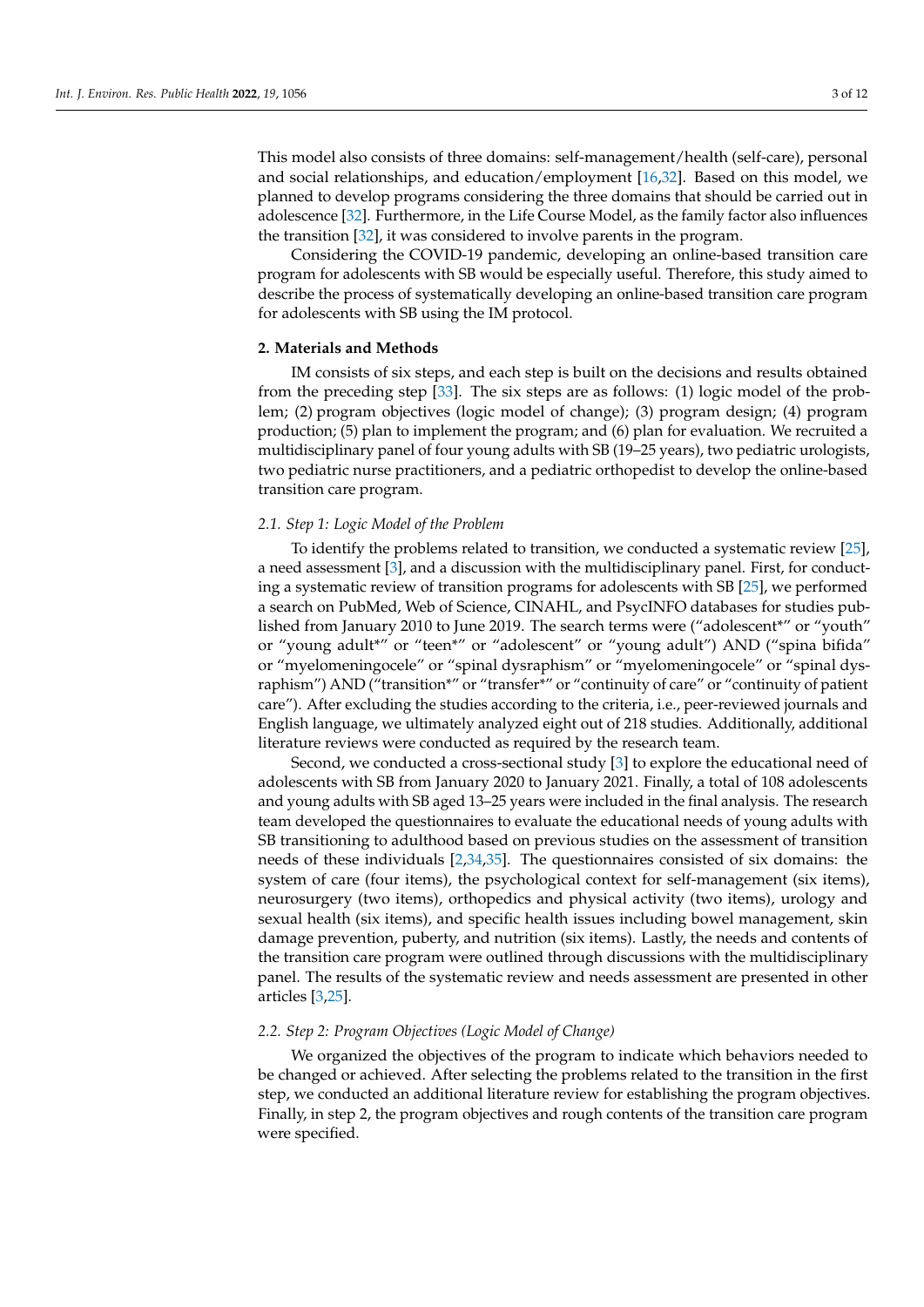This model also consists of three domains: self-management/health (self-care), personal and social relationships, and education/employment [\[16](#page-10-14)[,32\]](#page-11-5). Based on this model, we planned to develop programs considering the three domains that should be carried out in adolescence [\[32\]](#page-11-5). Furthermore, in the Life Course Model, as the family factor also influences the transition [\[32\]](#page-11-5), it was considered to involve parents in the program.

Considering the COVID-19 pandemic, developing an online-based transition care program for adolescents with SB would be especially useful. Therefore, this study aimed to describe the process of systematically developing an online-based transition care program for adolescents with SB using the IM protocol.

## **2. Materials and Methods**

IM consists of six steps, and each step is built on the decisions and results obtained from the preceding step [\[33\]](#page-11-6). The six steps are as follows: (1) logic model of the problem; (2) program objectives (logic model of change); (3) program design; (4) program production; (5) plan to implement the program; and (6) plan for evaluation. We recruited a multidisciplinary panel of four young adults with SB (19–25 years), two pediatric urologists, two pediatric nurse practitioners, and a pediatric orthopedist to develop the online-based transition care program.

#### *2.1. Step 1: Logic Model of the Problem*

To identify the problems related to transition, we conducted a systematic review [\[25\]](#page-10-21), a need assessment [\[3\]](#page-10-2), and a discussion with the multidisciplinary panel. First, for conducting a systematic review of transition programs for adolescents with SB [\[25\]](#page-10-21), we performed a search on PubMed, Web of Science, CINAHL, and PsycINFO databases for studies published from January 2010 to June 2019. The search terms were ("adolescent\*" or "youth" or "young adult\*" or "teen\*" or "adolescent" or "young adult") AND ("spina bifida" or "myelomeningocele" or "spinal dysraphism" or "myelomeningocele" or "spinal dysraphism") AND ("transition\*" or "transfer\*" or "continuity of care" or "continuity of patient care"). After excluding the studies according to the criteria, i.e., peer-reviewed journals and English language, we ultimately analyzed eight out of 218 studies. Additionally, additional literature reviews were conducted as required by the research team.

Second, we conducted a cross-sectional study [\[3\]](#page-10-2) to explore the educational need of adolescents with SB from January 2020 to January 2021. Finally, a total of 108 adolescents and young adults with SB aged 13–25 years were included in the final analysis. The research team developed the questionnaires to evaluate the educational needs of young adults with SB transitioning to adulthood based on previous studies on the assessment of transition needs of these individuals [\[2](#page-10-1)[,34](#page-11-7)[,35\]](#page-11-8). The questionnaires consisted of six domains: the system of care (four items), the psychological context for self-management (six items), neurosurgery (two items), orthopedics and physical activity (two items), urology and sexual health (six items), and specific health issues including bowel management, skin damage prevention, puberty, and nutrition (six items). Lastly, the needs and contents of the transition care program were outlined through discussions with the multidisciplinary panel. The results of the systematic review and needs assessment are presented in other articles [\[3,](#page-10-2)[25\]](#page-10-21).

#### *2.2. Step 2: Program Objectives (Logic Model of Change)*

We organized the objectives of the program to indicate which behaviors needed to be changed or achieved. After selecting the problems related to the transition in the first step, we conducted an additional literature review for establishing the program objectives. Finally, in step 2, the program objectives and rough contents of the transition care program were specified.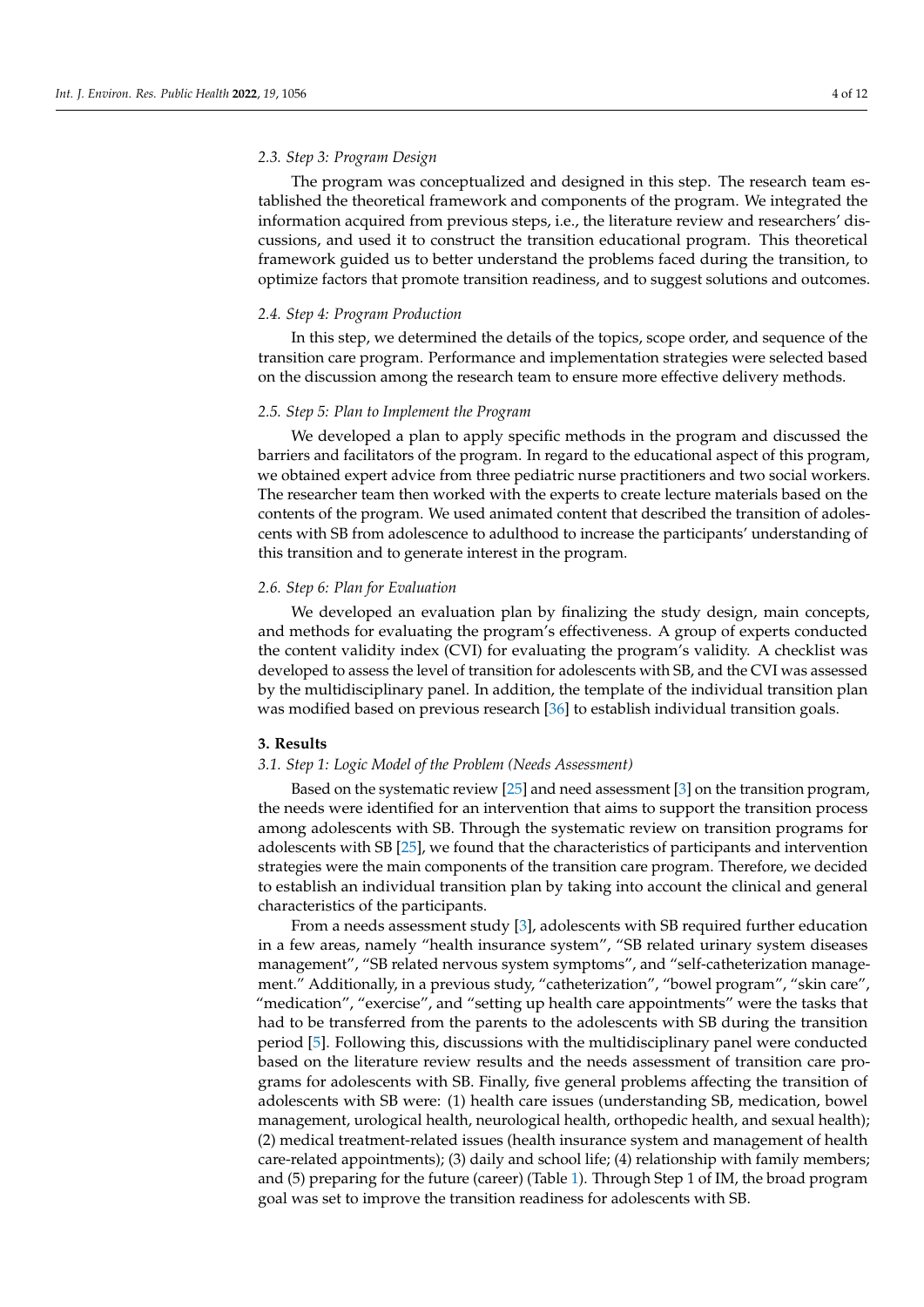## *2.3. Step 3: Program Design*

The program was conceptualized and designed in this step. The research team established the theoretical framework and components of the program. We integrated the information acquired from previous steps, i.e., the literature review and researchers' discussions, and used it to construct the transition educational program. This theoretical framework guided us to better understand the problems faced during the transition, to optimize factors that promote transition readiness, and to suggest solutions and outcomes.

## *2.4. Step 4: Program Production*

In this step, we determined the details of the topics, scope order, and sequence of the transition care program. Performance and implementation strategies were selected based on the discussion among the research team to ensure more effective delivery methods.

# *2.5. Step 5: Plan to Implement the Program*

We developed a plan to apply specific methods in the program and discussed the barriers and facilitators of the program. In regard to the educational aspect of this program, we obtained expert advice from three pediatric nurse practitioners and two social workers. The researcher team then worked with the experts to create lecture materials based on the contents of the program. We used animated content that described the transition of adolescents with SB from adolescence to adulthood to increase the participants' understanding of this transition and to generate interest in the program.

## *2.6. Step 6: Plan for Evaluation*

We developed an evaluation plan by finalizing the study design, main concepts, and methods for evaluating the program's effectiveness. A group of experts conducted the content validity index (CVI) for evaluating the program's validity. A checklist was developed to assess the level of transition for adolescents with SB, and the CVI was assessed by the multidisciplinary panel. In addition, the template of the individual transition plan was modified based on previous research [\[36\]](#page-11-9) to establish individual transition goals.

## **3. Results**

### *3.1. Step 1: Logic Model of the Problem (Needs Assessment)*

Based on the systematic review [\[25\]](#page-10-21) and need assessment [\[3\]](#page-10-2) on the transition program, the needs were identified for an intervention that aims to support the transition process among adolescents with SB. Through the systematic review on transition programs for adolescents with SB [\[25\]](#page-10-21), we found that the characteristics of participants and intervention strategies were the main components of the transition care program. Therefore, we decided to establish an individual transition plan by taking into account the clinical and general characteristics of the participants.

From a needs assessment study [\[3\]](#page-10-2), adolescents with SB required further education in a few areas, namely "health insurance system", "SB related urinary system diseases management", "SB related nervous system symptoms", and "self-catheterization management." Additionally, in a previous study, "catheterization", "bowel program", "skin care", "medication", "exercise", and "setting up health care appointments" were the tasks that had to be transferred from the parents to the adolescents with SB during the transition period [\[5\]](#page-10-4). Following this, discussions with the multidisciplinary panel were conducted based on the literature review results and the needs assessment of transition care programs for adolescents with SB. Finally, five general problems affecting the transition of adolescents with SB were: (1) health care issues (understanding SB, medication, bowel management, urological health, neurological health, orthopedic health, and sexual health); (2) medical treatment-related issues (health insurance system and management of health care-related appointments); (3) daily and school life; (4) relationship with family members; and (5) preparing for the future (career) (Table [1\)](#page-4-0). Through Step 1 of IM, the broad program goal was set to improve the transition readiness for adolescents with SB.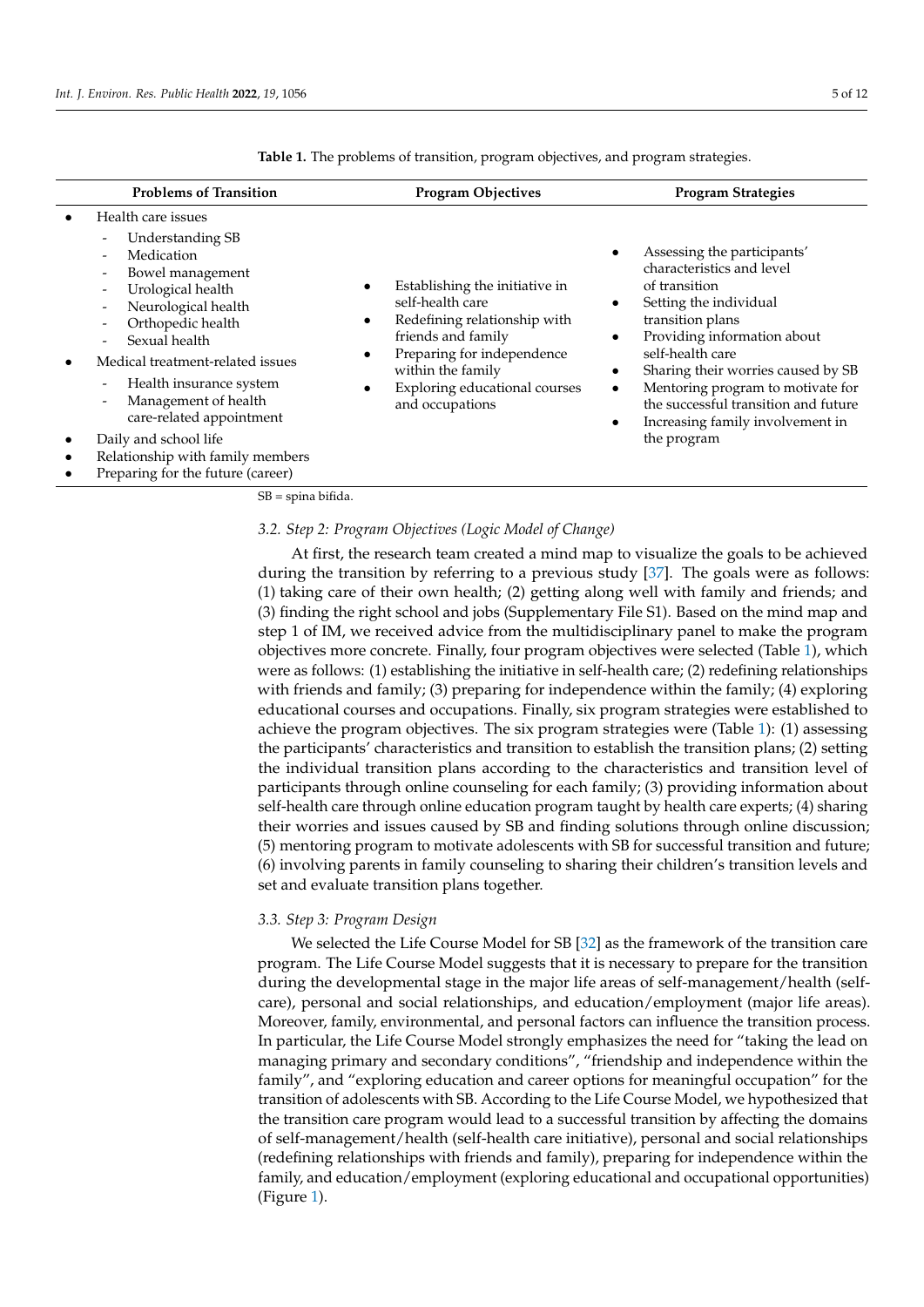| <b>Problems of Transition</b>                                                                                                                                                                                                                                                                                                                                                                                                                                                                                                                                                  | <b>Program Objectives</b>                                                                                                                                                                                       | <b>Program Strategies</b>                                                                                                                                                                                                                                                                                                                                                                                         |
|--------------------------------------------------------------------------------------------------------------------------------------------------------------------------------------------------------------------------------------------------------------------------------------------------------------------------------------------------------------------------------------------------------------------------------------------------------------------------------------------------------------------------------------------------------------------------------|-----------------------------------------------------------------------------------------------------------------------------------------------------------------------------------------------------------------|-------------------------------------------------------------------------------------------------------------------------------------------------------------------------------------------------------------------------------------------------------------------------------------------------------------------------------------------------------------------------------------------------------------------|
| Health care issues<br>Understanding SB<br>$\overline{\phantom{a}}$<br>Medication<br>$\overline{\phantom{a}}$<br>Bowel management<br>$\overline{\phantom{0}}$<br>Urological health<br>$\overline{\phantom{a}}$<br>Neurological health<br>$\overline{a}$<br>Orthopedic health<br>$\overline{\phantom{0}}$<br>Sexual health<br>Medical treatment-related issues<br>Health insurance system<br>$\overline{\phantom{a}}$<br>Management of health<br>٠<br>care-related appointment<br>Daily and school life<br>Relationship with family members<br>Preparing for the future (career) | Establishing the initiative in<br>self-health care<br>Redefining relationship with<br>friends and family<br>Preparing for independence<br>within the family<br>Exploring educational courses<br>and occupations | Assessing the participants'<br>characteristics and level<br>of transition<br>Setting the individual<br>$\bullet$<br>transition plans<br>Providing information about<br>$\bullet$<br>self-health care<br>Sharing their worries caused by SB<br>$\bullet$<br>Mentoring program to motivate for<br>$\bullet$<br>the successful transition and future<br>Increasing family involvement in<br>$\bullet$<br>the program |

<span id="page-4-0"></span>**Table 1.** The problems of transition, program objectives, and program strategies.

SB = spina bifida.

#### *3.2. Step 2: Program Objectives (Logic Model of Change)*

At first, the research team created a mind map to visualize the goals to be achieved during the transition by referring to a previous study [\[37\]](#page-11-10). The goals were as follows: (1) taking care of their own health; (2) getting along well with family and friends; and (3) finding the right school and jobs (Supplementary File S1). Based on the mind map and step 1 of IM, we received advice from the multidisciplinary panel to make the program objectives more concrete. Finally, four program objectives were selected (Table [1\)](#page-4-0), which were as follows: (1) establishing the initiative in self-health care; (2) redefining relationships with friends and family; (3) preparing for independence within the family; (4) exploring educational courses and occupations. Finally, six program strategies were established to achieve the program objectives. The six program strategies were (Table [1\)](#page-4-0): (1) assessing the participants' characteristics and transition to establish the transition plans; (2) setting the individual transition plans according to the characteristics and transition level of participants through online counseling for each family; (3) providing information about self-health care through online education program taught by health care experts; (4) sharing their worries and issues caused by SB and finding solutions through online discussion; (5) mentoring program to motivate adolescents with SB for successful transition and future; (6) involving parents in family counseling to sharing their children's transition levels and set and evaluate transition plans together.

#### *3.3. Step 3: Program Design*

We selected the Life Course Model for SB [\[32\]](#page-11-5) as the framework of the transition care program. The Life Course Model suggests that it is necessary to prepare for the transition during the developmental stage in the major life areas of self-management/health (selfcare), personal and social relationships, and education/employment (major life areas). Moreover, family, environmental, and personal factors can influence the transition process. In particular, the Life Course Model strongly emphasizes the need for "taking the lead on managing primary and secondary conditions", "friendship and independence within the family", and "exploring education and career options for meaningful occupation" for the transition of adolescents with SB. According to the Life Course Model, we hypothesized that the transition care program would lead to a successful transition by affecting the domains of self-management/health (self-health care initiative), personal and social relationships (redefining relationships with friends and family), preparing for independence within the family, and education/employment (exploring educational and occupational opportunities) (Figure [1\)](#page-5-0).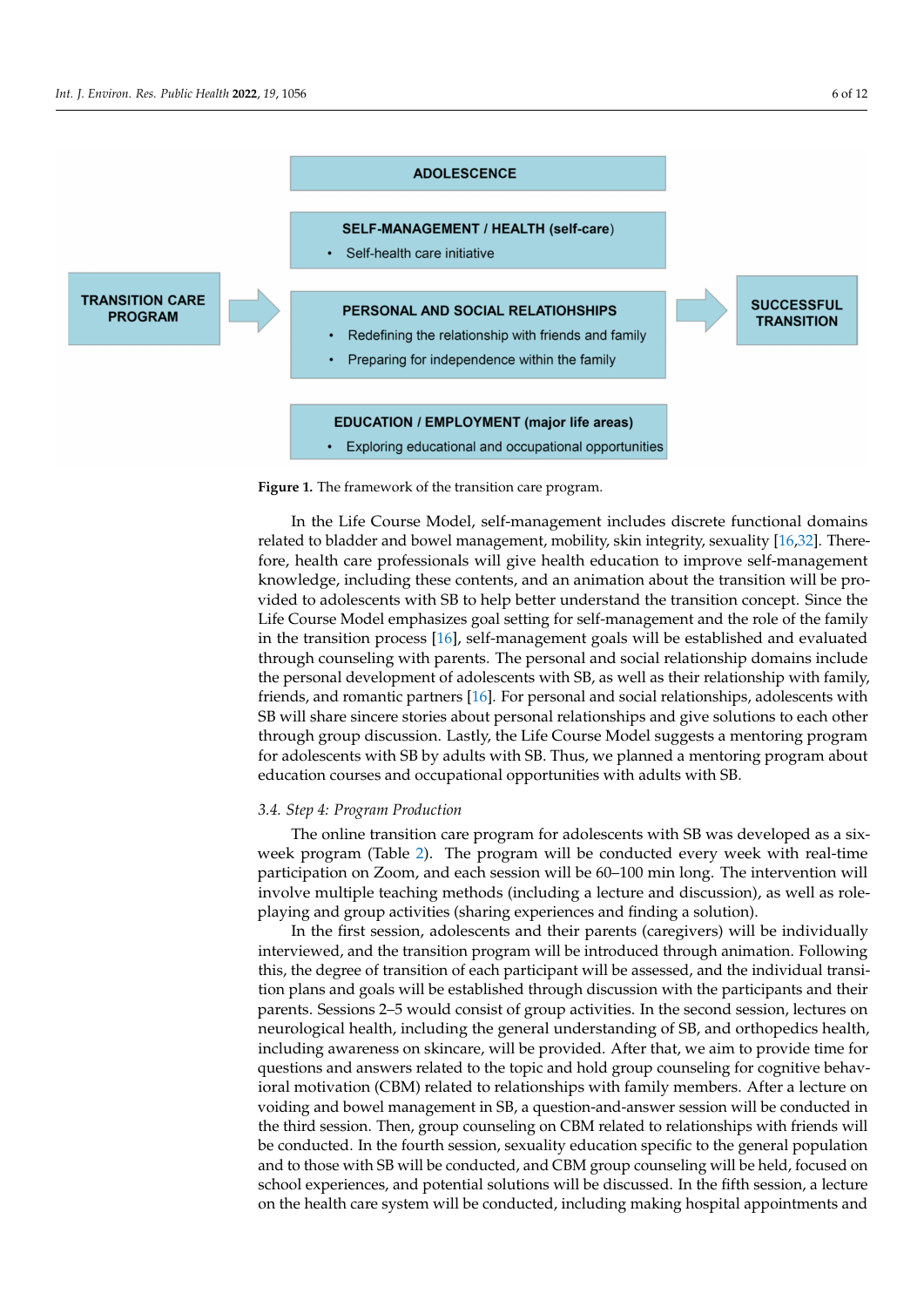<span id="page-5-0"></span>

**Figure 1.** The framework of the transition care program.

In the Life Course Model, self-management includes discrete functional domains related to bladder and bowel management, mobility, skin integrity, sexuality [\[16,](#page-10-14)[32\]](#page-11-5). Therefore, health care professionals will give health education to improve self-management knowledge, including these contents, and an animation about the transition will be provided to adolescents with SB to help better understand the transition concept. Since the Life Course Model emphasizes goal setting for self-management and the role of the family in the transition process [\[16\]](#page-10-14), self-management goals will be established and evaluated through counseling with parents. The personal and social relationship domains include the personal development of adolescents with SB, as well as their relationship with family, friends, and romantic partners [\[16\]](#page-10-14). For personal and social relationships, adolescents with SB will share sincere stories about personal relationships and give solutions to each other through group discussion. Lastly, the Life Course Model suggests a mentoring program for adolescents with SB by adults with SB. Thus, we planned a mentoring program about education courses and occupational opportunities with adults with SB.

#### *3.4. Step 4: Program Production*

The online transition care program for adolescents with SB was developed as a sixweek program (Table [2\)](#page-6-0). The program will be conducted every week with real-time participation on Zoom, and each session will be 60–100 min long. The intervention will involve multiple teaching methods (including a lecture and discussion), as well as roleplaying and group activities (sharing experiences and finding a solution).

In the first session, adolescents and their parents (caregivers) will be individually interviewed, and the transition program will be introduced through animation. Following this, the degree of transition of each participant will be assessed, and the individual transition plans and goals will be established through discussion with the participants and their parents. Sessions 2–5 would consist of group activities. In the second session, lectures on neurological health, including the general understanding of SB, and orthopedics health, including awareness on skincare, will be provided. After that, we aim to provide time for questions and answers related to the topic and hold group counseling for cognitive behavioral motivation (CBM) related to relationships with family members. After a lecture on voiding and bowel management in SB, a question-and-answer session will be conducted in the third session. Then, group counseling on CBM related to relationships with friends will be conducted. In the fourth session, sexuality education specific to the general population and to those with SB will be conducted, and CBM group counseling will be held, focused on school experiences, and potential solutions will be discussed. In the fifth session, a lecture on the health care system will be conducted, including making hospital appointments and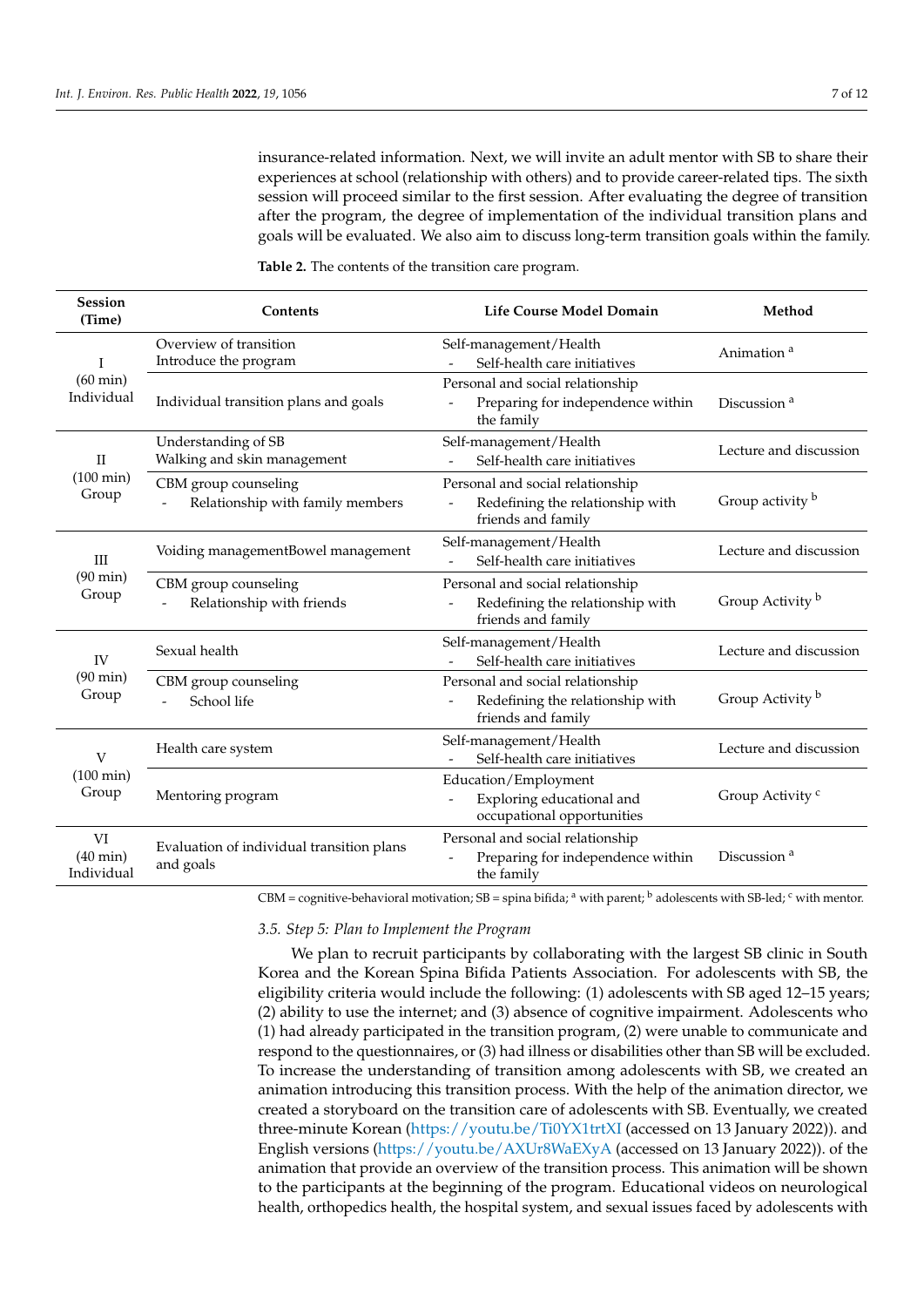insurance-related information. Next, we will invite an adult mentor with SB to share their experiences at school (relationship with others) and to provide career-related tips. The sixth session will proceed similar to the first session. After evaluating the degree of transition after the program, the degree of implementation of the individual transition plans and goals will be evaluated. We also aim to discuss long-term transition goals within the family.

| Session<br>(Time)                      | Contents                                                 | Life Course Model Domain                                                                   | Method                      |
|----------------------------------------|----------------------------------------------------------|--------------------------------------------------------------------------------------------|-----------------------------|
| I                                      | Overview of transition<br>Introduce the program          | Self-management/Health<br>Self-health care initiatives                                     | Animation <sup>a</sup>      |
| $(60 \text{ min})$<br>Individual       | Individual transition plans and goals                    | Personal and social relationship<br>Preparing for independence within<br>the family        | Discussion <sup>a</sup>     |
| $\mathbf{I}$                           | Understanding of SB<br>Walking and skin management       | Self-management/Health<br>Self-health care initiatives                                     | Lecture and discussion      |
| $(100 \text{ min})$<br>Group           | CBM group counseling<br>Relationship with family members | Personal and social relationship<br>Redefining the relationship with<br>friends and family | Group activity b            |
| ΠI                                     | Voiding managementBowel management                       | Self-management/Health<br>Self-health care initiatives                                     | Lecture and discussion      |
| $(90 \text{ min})$<br>Group            | CBM group counseling<br>Relationship with friends        | Personal and social relationship<br>Redefining the relationship with<br>friends and family | Group Activity <sup>b</sup> |
| IV                                     | Sexual health                                            | Self-management/Health<br>Self-health care initiatives                                     | Lecture and discussion      |
| $(90 \text{ min})$<br>Group            | CBM group counseling<br>School life                      | Personal and social relationship<br>Redefining the relationship with<br>friends and family | Group Activity b            |
| V                                      | Health care system                                       | Self-management/Health<br>Self-health care initiatives                                     | Lecture and discussion      |
| $(100 \text{ min})$<br>Group           | Mentoring program                                        | Education/Employment<br>Exploring educational and<br>occupational opportunities            | Group Activity <sup>c</sup> |
| VI<br>$(40 \text{ min})$<br>Individual | Evaluation of individual transition plans<br>and goals   | Personal and social relationship<br>Preparing for independence within<br>the family        | Discussion <sup>a</sup>     |

<span id="page-6-0"></span>**Table 2.** The contents of the transition care program.

CBM = cognitive-behavioral motivation; SB = spina bifida; <sup>a</sup> with parent; <sup>b</sup> adolescents with SB-led; <sup>c</sup> with mentor.

#### *3.5. Step 5: Plan to Implement the Program*

We plan to recruit participants by collaborating with the largest SB clinic in South Korea and the Korean Spina Bifida Patients Association. For adolescents with SB, the eligibility criteria would include the following: (1) adolescents with SB aged 12–15 years; (2) ability to use the internet; and (3) absence of cognitive impairment. Adolescents who (1) had already participated in the transition program, (2) were unable to communicate and respond to the questionnaires, or (3) had illness or disabilities other than SB will be excluded. To increase the understanding of transition among adolescents with SB, we created an animation introducing this transition process. With the help of the animation director, we created a storyboard on the transition care of adolescents with SB. Eventually, we created three-minute Korean [\(https://youtu.be/Ti0YX1trtXI](https://youtu.be/Ti0YX1trtXI) (accessed on 13 January 2022)). and English versions [\(https://youtu.be/AXUr8WaEXyA](https://youtu.be/AXUr8WaEXyA) (accessed on 13 January 2022)). of the animation that provide an overview of the transition process. This animation will be shown to the participants at the beginning of the program. Educational videos on neurological health, orthopedics health, the hospital system, and sexual issues faced by adolescents with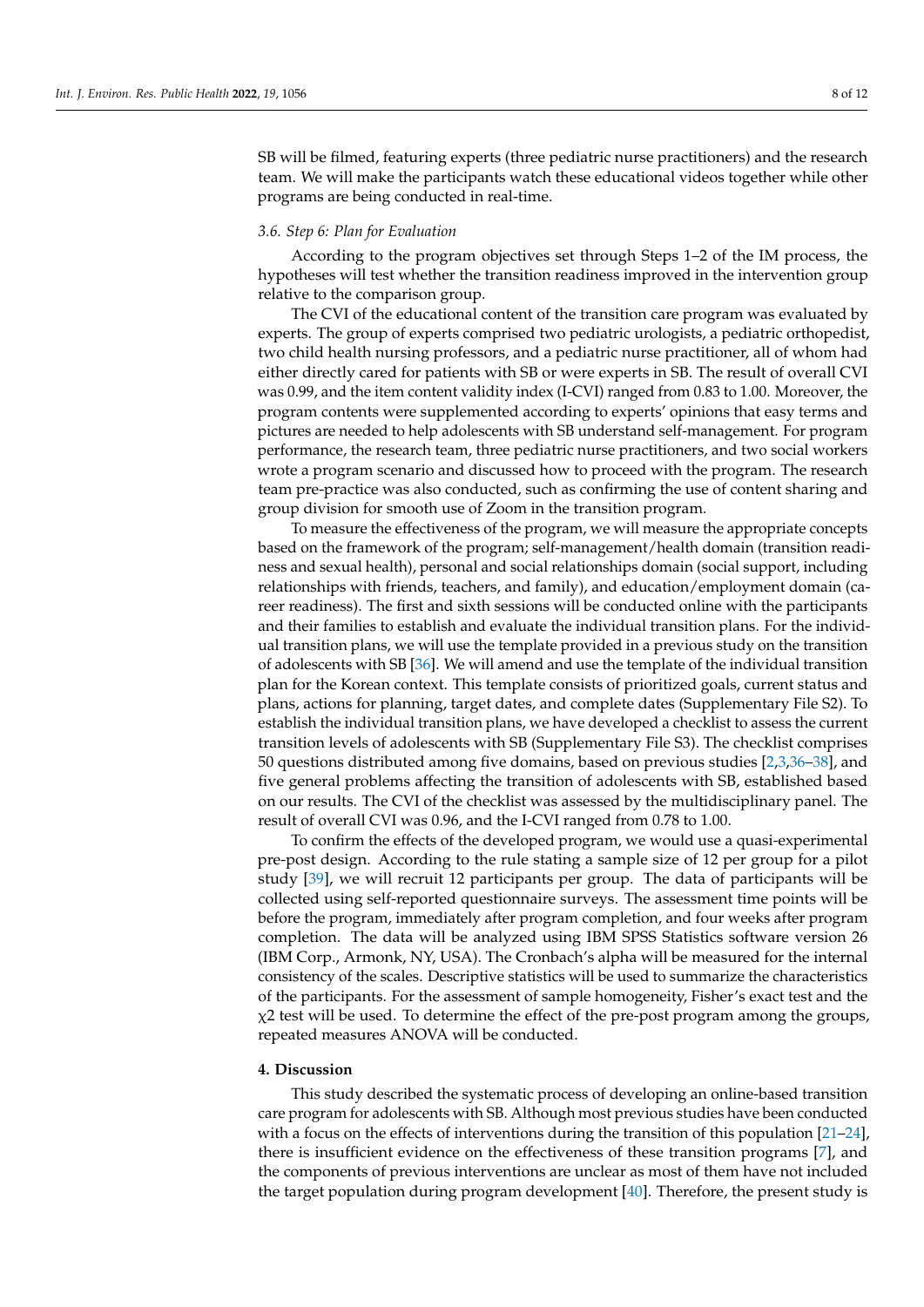SB will be filmed, featuring experts (three pediatric nurse practitioners) and the research team. We will make the participants watch these educational videos together while other programs are being conducted in real-time.

## *3.6. Step 6: Plan for Evaluation*

According to the program objectives set through Steps 1–2 of the IM process, the hypotheses will test whether the transition readiness improved in the intervention group relative to the comparison group.

The CVI of the educational content of the transition care program was evaluated by experts. The group of experts comprised two pediatric urologists, a pediatric orthopedist, two child health nursing professors, and a pediatric nurse practitioner, all of whom had either directly cared for patients with SB or were experts in SB. The result of overall CVI was 0.99, and the item content validity index (I-CVI) ranged from 0.83 to 1.00. Moreover, the program contents were supplemented according to experts' opinions that easy terms and pictures are needed to help adolescents with SB understand self-management. For program performance, the research team, three pediatric nurse practitioners, and two social workers wrote a program scenario and discussed how to proceed with the program. The research team pre-practice was also conducted, such as confirming the use of content sharing and group division for smooth use of Zoom in the transition program.

To measure the effectiveness of the program, we will measure the appropriate concepts based on the framework of the program; self-management/health domain (transition readiness and sexual health), personal and social relationships domain (social support, including relationships with friends, teachers, and family), and education/employment domain (career readiness). The first and sixth sessions will be conducted online with the participants and their families to establish and evaluate the individual transition plans. For the individual transition plans, we will use the template provided in a previous study on the transition of adolescents with SB [\[36\]](#page-11-9). We will amend and use the template of the individual transition plan for the Korean context. This template consists of prioritized goals, current status and plans, actions for planning, target dates, and complete dates (Supplementary File S2). To establish the individual transition plans, we have developed a checklist to assess the current transition levels of adolescents with SB (Supplementary File S3). The checklist comprises 50 questions distributed among five domains, based on previous studies [\[2,](#page-10-1)[3](#page-10-2)[,36–](#page-11-9)[38\]](#page-11-11), and five general problems affecting the transition of adolescents with SB, established based on our results. The CVI of the checklist was assessed by the multidisciplinary panel. The result of overall CVI was 0.96, and the I-CVI ranged from 0.78 to 1.00.

To confirm the effects of the developed program, we would use a quasi-experimental pre-post design. According to the rule stating a sample size of 12 per group for a pilot study [\[39\]](#page-11-12), we will recruit 12 participants per group. The data of participants will be collected using self-reported questionnaire surveys. The assessment time points will be before the program, immediately after program completion, and four weeks after program completion. The data will be analyzed using IBM SPSS Statistics software version 26 (IBM Corp., Armonk, NY, USA). The Cronbach's alpha will be measured for the internal consistency of the scales. Descriptive statistics will be used to summarize the characteristics of the participants. For the assessment of sample homogeneity, Fisher's exact test and the  $x^2$  test will be used. To determine the effect of the pre-post program among the groups, repeated measures ANOVA will be conducted.

#### **4. Discussion**

This study described the systematic process of developing an online-based transition care program for adolescents with SB. Although most previous studies have been conducted with a focus on the effects of interventions during the transition of this population [\[21–](#page-10-19)[24\]](#page-10-20), there is insufficient evidence on the effectiveness of these transition programs [\[7\]](#page-10-6), and the components of previous interventions are unclear as most of them have not included the target population during program development  $[40]$ . Therefore, the present study is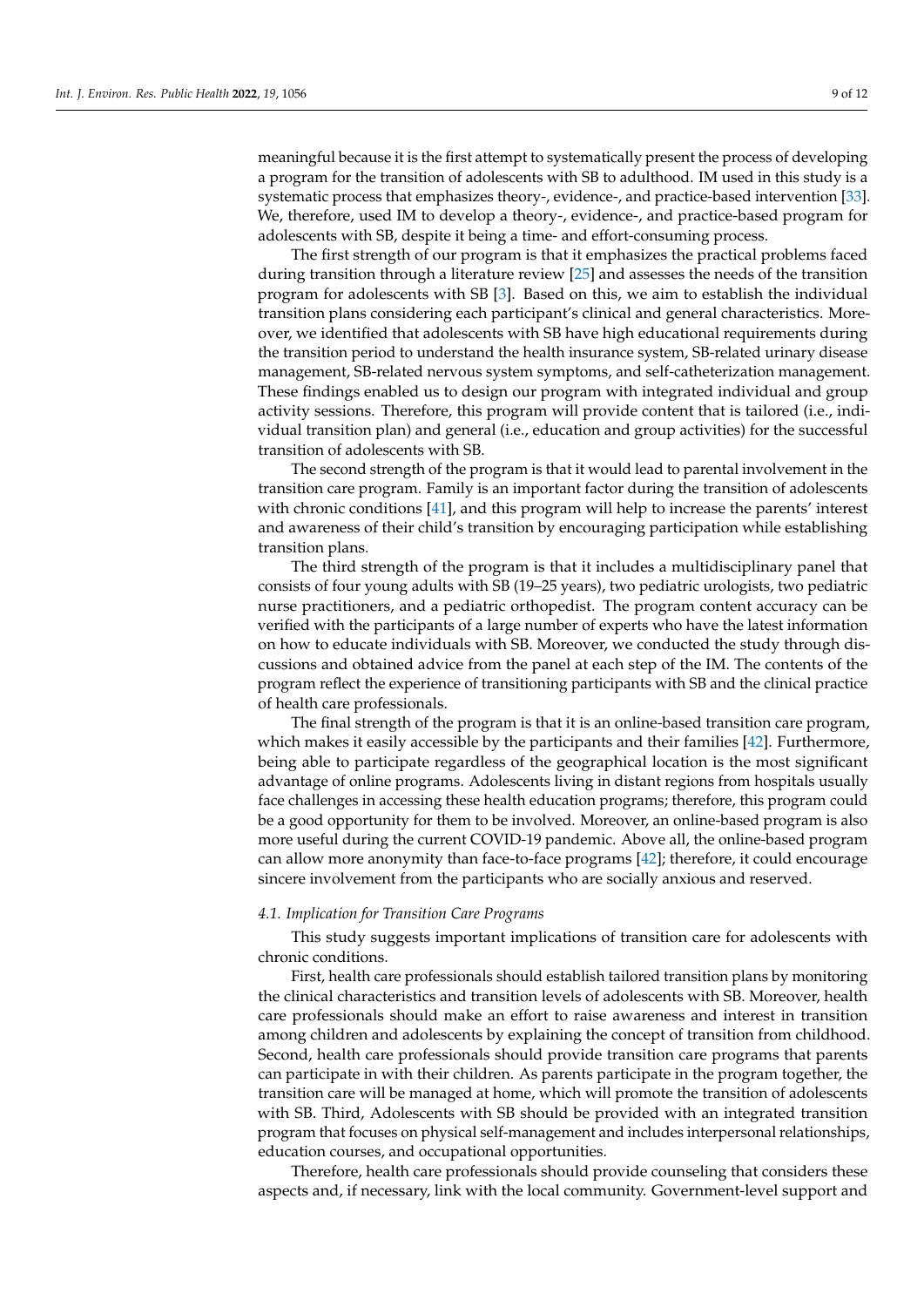meaningful because it is the first attempt to systematically present the process of developing a program for the transition of adolescents with SB to adulthood. IM used in this study is a systematic process that emphasizes theory-, evidence-, and practice-based intervention [\[33\]](#page-11-6). We, therefore, used IM to develop a theory-, evidence-, and practice-based program for adolescents with SB, despite it being a time- and effort-consuming process.

The first strength of our program is that it emphasizes the practical problems faced during transition through a literature review [\[25\]](#page-10-21) and assesses the needs of the transition program for adolescents with SB [\[3\]](#page-10-2). Based on this, we aim to establish the individual transition plans considering each participant's clinical and general characteristics. Moreover, we identified that adolescents with SB have high educational requirements during the transition period to understand the health insurance system, SB-related urinary disease management, SB-related nervous system symptoms, and self-catheterization management. These findings enabled us to design our program with integrated individual and group activity sessions. Therefore, this program will provide content that is tailored (i.e., individual transition plan) and general (i.e., education and group activities) for the successful transition of adolescents with SB.

The second strength of the program is that it would lead to parental involvement in the transition care program. Family is an important factor during the transition of adolescents with chronic conditions [\[41\]](#page-11-14), and this program will help to increase the parents' interest and awareness of their child's transition by encouraging participation while establishing transition plans.

The third strength of the program is that it includes a multidisciplinary panel that consists of four young adults with SB (19–25 years), two pediatric urologists, two pediatric nurse practitioners, and a pediatric orthopedist. The program content accuracy can be verified with the participants of a large number of experts who have the latest information on how to educate individuals with SB. Moreover, we conducted the study through discussions and obtained advice from the panel at each step of the IM. The contents of the program reflect the experience of transitioning participants with SB and the clinical practice of health care professionals.

The final strength of the program is that it is an online-based transition care program, which makes it easily accessible by the participants and their families [\[42\]](#page-11-15). Furthermore, being able to participate regardless of the geographical location is the most significant advantage of online programs. Adolescents living in distant regions from hospitals usually face challenges in accessing these health education programs; therefore, this program could be a good opportunity for them to be involved. Moreover, an online-based program is also more useful during the current COVID-19 pandemic. Above all, the online-based program can allow more anonymity than face-to-face programs [\[42\]](#page-11-15); therefore, it could encourage sincere involvement from the participants who are socially anxious and reserved.

#### *4.1. Implication for Transition Care Programs*

This study suggests important implications of transition care for adolescents with chronic conditions.

First, health care professionals should establish tailored transition plans by monitoring the clinical characteristics and transition levels of adolescents with SB. Moreover, health care professionals should make an effort to raise awareness and interest in transition among children and adolescents by explaining the concept of transition from childhood. Second, health care professionals should provide transition care programs that parents can participate in with their children. As parents participate in the program together, the transition care will be managed at home, which will promote the transition of adolescents with SB. Third, Adolescents with SB should be provided with an integrated transition program that focuses on physical self-management and includes interpersonal relationships, education courses, and occupational opportunities.

Therefore, health care professionals should provide counseling that considers these aspects and, if necessary, link with the local community. Government-level support and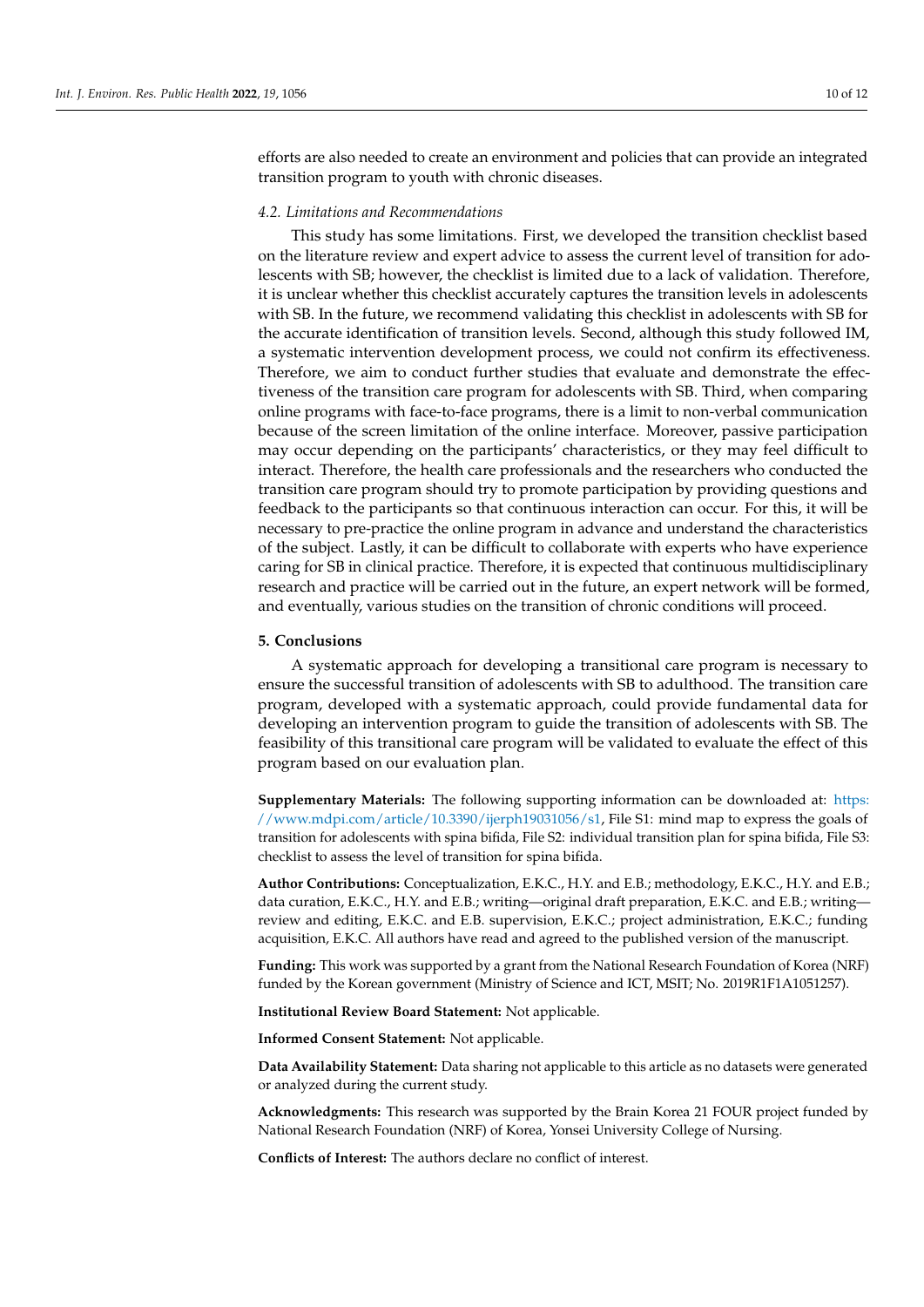efforts are also needed to create an environment and policies that can provide an integrated transition program to youth with chronic diseases.

#### *4.2. Limitations and Recommendations*

This study has some limitations. First, we developed the transition checklist based on the literature review and expert advice to assess the current level of transition for adolescents with SB; however, the checklist is limited due to a lack of validation. Therefore, it is unclear whether this checklist accurately captures the transition levels in adolescents with SB. In the future, we recommend validating this checklist in adolescents with SB for the accurate identification of transition levels. Second, although this study followed IM, a systematic intervention development process, we could not confirm its effectiveness. Therefore, we aim to conduct further studies that evaluate and demonstrate the effectiveness of the transition care program for adolescents with SB. Third, when comparing online programs with face-to-face programs, there is a limit to non-verbal communication because of the screen limitation of the online interface. Moreover, passive participation may occur depending on the participants' characteristics, or they may feel difficult to interact. Therefore, the health care professionals and the researchers who conducted the transition care program should try to promote participation by providing questions and feedback to the participants so that continuous interaction can occur. For this, it will be necessary to pre-practice the online program in advance and understand the characteristics of the subject. Lastly, it can be difficult to collaborate with experts who have experience caring for SB in clinical practice. Therefore, it is expected that continuous multidisciplinary research and practice will be carried out in the future, an expert network will be formed, and eventually, various studies on the transition of chronic conditions will proceed.

# **5. Conclusions**

A systematic approach for developing a transitional care program is necessary to ensure the successful transition of adolescents with SB to adulthood. The transition care program, developed with a systematic approach, could provide fundamental data for developing an intervention program to guide the transition of adolescents with SB. The feasibility of this transitional care program will be validated to evaluate the effect of this program based on our evaluation plan.

**Supplementary Materials:** The following supporting information can be downloaded at: [https:](https://www.mdpi.com/article/10.3390/ijerph19031056/s1) [//www.mdpi.com/article/10.3390/ijerph19031056/s1,](https://www.mdpi.com/article/10.3390/ijerph19031056/s1) File S1: mind map to express the goals of transition for adolescents with spina bifida, File S2: individual transition plan for spina bifida, File S3: checklist to assess the level of transition for spina bifida.

**Author Contributions:** Conceptualization, E.K.C., H.Y. and E.B.; methodology, E.K.C., H.Y. and E.B.; data curation, E.K.C., H.Y. and E.B.; writing—original draft preparation, E.K.C. and E.B.; writing review and editing, E.K.C. and E.B. supervision, E.K.C.; project administration, E.K.C.; funding acquisition, E.K.C. All authors have read and agreed to the published version of the manuscript.

**Funding:** This work was supported by a grant from the National Research Foundation of Korea (NRF) funded by the Korean government (Ministry of Science and ICT, MSIT; No. 2019R1F1A1051257).

**Institutional Review Board Statement:** Not applicable.

**Informed Consent Statement:** Not applicable.

**Data Availability Statement:** Data sharing not applicable to this article as no datasets were generated or analyzed during the current study.

**Acknowledgments:** This research was supported by the Brain Korea 21 FOUR project funded by National Research Foundation (NRF) of Korea, Yonsei University College of Nursing.

**Conflicts of Interest:** The authors declare no conflict of interest.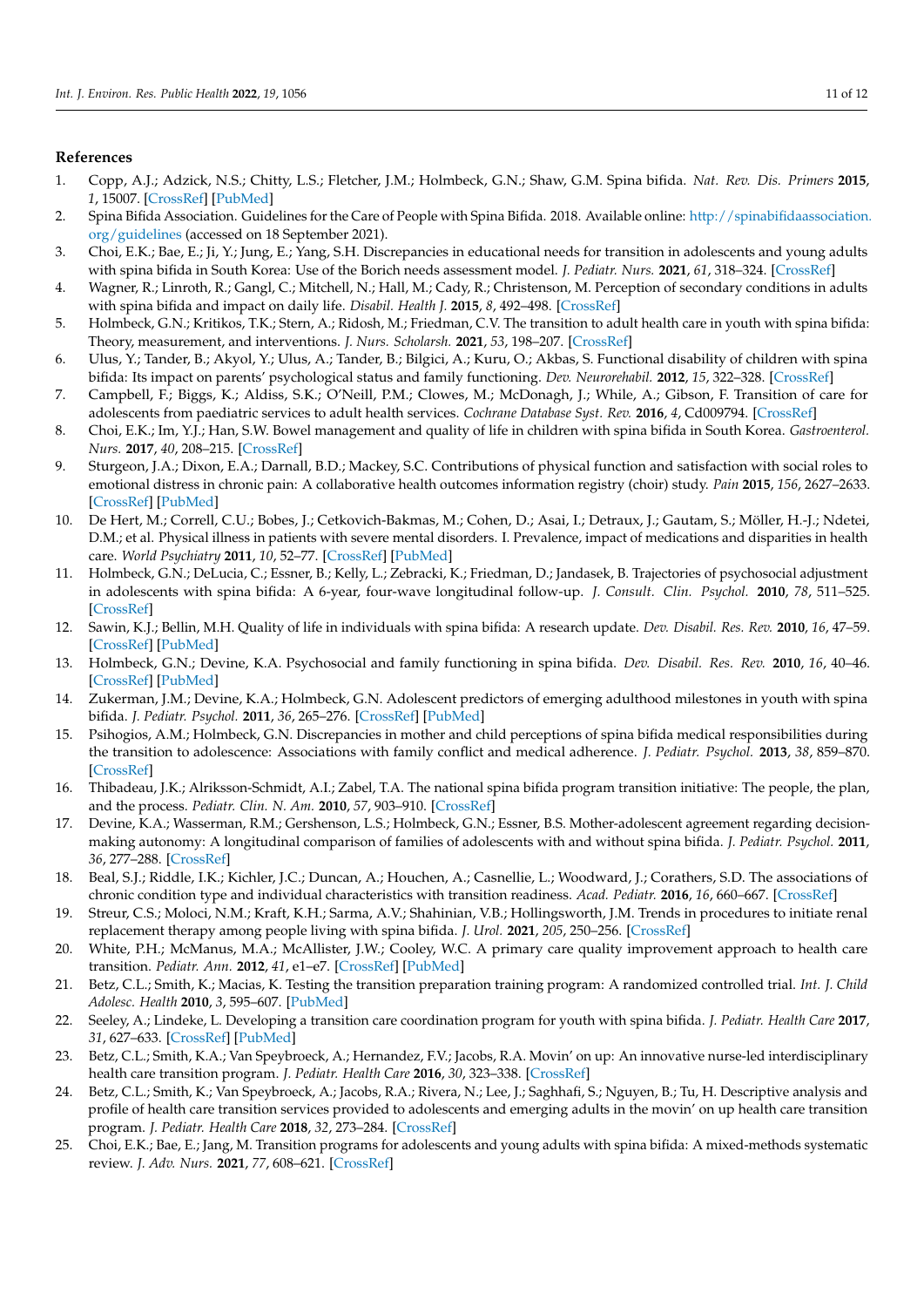# **References**

- <span id="page-10-0"></span>1. Copp, A.J.; Adzick, N.S.; Chitty, L.S.; Fletcher, J.M.; Holmbeck, G.N.; Shaw, G.M. Spina bifida. *Nat. Rev. Dis. Primers* **2015**, *1*, 15007. [\[CrossRef\]](http://doi.org/10.1038/nrdp.2015.7) [\[PubMed\]](http://www.ncbi.nlm.nih.gov/pubmed/27189655)
- <span id="page-10-1"></span>2. Spina Bifida Association. Guidelines for the Care of People with Spina Bifida. 2018. Available online: [http://spinabifidaassociation.](http://spinabifidaassociation.org/guidelines) [org/guidelines](http://spinabifidaassociation.org/guidelines) (accessed on 18 September 2021).
- <span id="page-10-2"></span>3. Choi, E.K.; Bae, E.; Ji, Y.; Jung, E.; Yang, S.H. Discrepancies in educational needs for transition in adolescents and young adults with spina bifida in South Korea: Use of the Borich needs assessment model. *J. Pediatr. Nurs.* **2021**, *61*, 318–324. [\[CrossRef\]](http://doi.org/10.1016/j.pedn.2021.08.018)
- <span id="page-10-3"></span>4. Wagner, R.; Linroth, R.; Gangl, C.; Mitchell, N.; Hall, M.; Cady, R.; Christenson, M. Perception of secondary conditions in adults with spina bifida and impact on daily life. *Disabil. Health J.* **2015**, *8*, 492–498. [\[CrossRef\]](http://doi.org/10.1016/j.dhjo.2015.03.012)
- <span id="page-10-4"></span>5. Holmbeck, G.N.; Kritikos, T.K.; Stern, A.; Ridosh, M.; Friedman, C.V. The transition to adult health care in youth with spina bifida: Theory, measurement, and interventions. *J. Nurs. Scholarsh.* **2021**, *53*, 198–207. [\[CrossRef\]](http://doi.org/10.1111/jnu.12626)
- <span id="page-10-5"></span>6. Ulus, Y.; Tander, B.; Akyol, Y.; Ulus, A.; Tander, B.; Bilgici, A.; Kuru, O.; Akbas, S. Functional disability of children with spina bifida: Its impact on parents' psychological status and family functioning. *Dev. Neurorehabil.* **2012**, *15*, 322–328. [\[CrossRef\]](http://doi.org/10.3109/17518423.2012.691119)
- <span id="page-10-6"></span>7. Campbell, F.; Biggs, K.; Aldiss, S.K.; O'Neill, P.M.; Clowes, M.; McDonagh, J.; While, A.; Gibson, F. Transition of care for adolescents from paediatric services to adult health services. *Cochrane Database Syst. Rev.* **2016**, *4*, Cd009794. [\[CrossRef\]](http://doi.org/10.1002/14651858.CD009794.pub2)
- <span id="page-10-7"></span>8. Choi, E.K.; Im, Y.J.; Han, S.W. Bowel management and quality of life in children with spina bifida in South Korea. *Gastroenterol. Nurs.* **2017**, *40*, 208–215. [\[CrossRef\]](http://doi.org/10.1097/SGA.0000000000000135)
- <span id="page-10-8"></span>9. Sturgeon, J.A.; Dixon, E.A.; Darnall, B.D.; Mackey, S.C. Contributions of physical function and satisfaction with social roles to emotional distress in chronic pain: A collaborative health outcomes information registry (choir) study. *Pain* **2015**, *156*, 2627–2633. [\[CrossRef\]](http://doi.org/10.1097/j.pain.0000000000000313) [\[PubMed\]](http://www.ncbi.nlm.nih.gov/pubmed/26230739)
- <span id="page-10-9"></span>10. De Hert, M.; Correll, C.U.; Bobes, J.; Cetkovich-Bakmas, M.; Cohen, D.; Asai, I.; Detraux, J.; Gautam, S.; Möller, H.-J.; Ndetei, D.M.; et al. Physical illness in patients with severe mental disorders. I. Prevalence, impact of medications and disparities in health care. *World Psychiatry* **2011**, *10*, 52–77. [\[CrossRef\]](http://doi.org/10.1002/j.2051-5545.2011.tb00014.x) [\[PubMed\]](http://www.ncbi.nlm.nih.gov/pubmed/21379357)
- <span id="page-10-10"></span>11. Holmbeck, G.N.; DeLucia, C.; Essner, B.; Kelly, L.; Zebracki, K.; Friedman, D.; Jandasek, B. Trajectories of psychosocial adjustment in adolescents with spina bifida: A 6-year, four-wave longitudinal follow-up. *J. Consult. Clin. Psychol.* **2010**, *78*, 511–525. [\[CrossRef\]](http://doi.org/10.1037/a0019599)
- 12. Sawin, K.J.; Bellin, M.H. Quality of life in individuals with spina bifida: A research update. *Dev. Disabil. Res. Rev.* **2010**, *16*, 47–59. [\[CrossRef\]](http://doi.org/10.1002/ddrr.96) [\[PubMed\]](http://www.ncbi.nlm.nih.gov/pubmed/20419771)
- <span id="page-10-11"></span>13. Holmbeck, G.N.; Devine, K.A. Psychosocial and family functioning in spina bifida. *Dev. Disabil. Res. Rev.* **2010**, *16*, 40–46. [\[CrossRef\]](http://doi.org/10.1002/ddrr.90) [\[PubMed\]](http://www.ncbi.nlm.nih.gov/pubmed/20419770)
- <span id="page-10-12"></span>14. Zukerman, J.M.; Devine, K.A.; Holmbeck, G.N. Adolescent predictors of emerging adulthood milestones in youth with spina bifida. *J. Pediatr. Psychol.* **2011**, *36*, 265–276. [\[CrossRef\]](http://doi.org/10.1093/jpepsy/jsq075) [\[PubMed\]](http://www.ncbi.nlm.nih.gov/pubmed/20855288)
- <span id="page-10-13"></span>15. Psihogios, A.M.; Holmbeck, G.N. Discrepancies in mother and child perceptions of spina bifida medical responsibilities during the transition to adolescence: Associations with family conflict and medical adherence. *J. Pediatr. Psychol.* **2013**, *38*, 859–870. [\[CrossRef\]](http://doi.org/10.1093/jpepsy/jst047)
- <span id="page-10-14"></span>16. Thibadeau, J.K.; Alriksson-Schmidt, A.I.; Zabel, T.A. The national spina bifida program transition initiative: The people, the plan, and the process. *Pediatr. Clin. N. Am.* **2010**, *57*, 903–910. [\[CrossRef\]](http://doi.org/10.1016/j.pcl.2010.07.010)
- <span id="page-10-15"></span>17. Devine, K.A.; Wasserman, R.M.; Gershenson, L.S.; Holmbeck, G.N.; Essner, B.S. Mother-adolescent agreement regarding decisionmaking autonomy: A longitudinal comparison of families of adolescents with and without spina bifida. *J. Pediatr. Psychol.* **2011**, *36*, 277–288. [\[CrossRef\]](http://doi.org/10.1093/jpepsy/jsq093)
- <span id="page-10-16"></span>18. Beal, S.J.; Riddle, I.K.; Kichler, J.C.; Duncan, A.; Houchen, A.; Casnellie, L.; Woodward, J.; Corathers, S.D. The associations of chronic condition type and individual characteristics with transition readiness. *Acad. Pediatr.* **2016**, *16*, 660–667. [\[CrossRef\]](http://doi.org/10.1016/j.acap.2016.06.007)
- <span id="page-10-17"></span>19. Streur, C.S.; Moloci, N.M.; Kraft, K.H.; Sarma, A.V.; Shahinian, V.B.; Hollingsworth, J.M. Trends in procedures to initiate renal replacement therapy among people living with spina bifida. *J. Urol.* **2021**, *205*, 250–256. [\[CrossRef\]](http://doi.org/10.1097/JU.0000000000001314)
- <span id="page-10-18"></span>20. White, P.H.; McManus, M.A.; McAllister, J.W.; Cooley, W.C. A primary care quality improvement approach to health care transition. *Pediatr. Ann.* **2012**, *41*, e1–e7. [\[CrossRef\]](http://doi.org/10.3928/00904481-20120426-07) [\[PubMed\]](http://www.ncbi.nlm.nih.gov/pubmed/22587507)
- <span id="page-10-19"></span>21. Betz, C.L.; Smith, K.; Macias, K. Testing the transition preparation training program: A randomized controlled trial. *Int. J. Child Adolesc. Health* **2010**, *3*, 595–607. [\[PubMed\]](http://www.ncbi.nlm.nih.gov/pubmed/22229060)
- <span id="page-10-22"></span>22. Seeley, A.; Lindeke, L. Developing a transition care coordination program for youth with spina bifida. *J. Pediatr. Health Care* **2017**, *31*, 627–633. [\[CrossRef\]](http://doi.org/10.1016/j.pedhc.2017.04.015) [\[PubMed\]](http://www.ncbi.nlm.nih.gov/pubmed/28760316)
- 23. Betz, C.L.; Smith, K.A.; Van Speybroeck, A.; Hernandez, F.V.; Jacobs, R.A. Movin' on up: An innovative nurse-led interdisciplinary health care transition program. *J. Pediatr. Health Care* **2016**, *30*, 323–338. [\[CrossRef\]](http://doi.org/10.1016/j.pedhc.2015.08.005)
- <span id="page-10-20"></span>24. Betz, C.L.; Smith, K.; Van Speybroeck, A.; Jacobs, R.A.; Rivera, N.; Lee, J.; Saghhafi, S.; Nguyen, B.; Tu, H. Descriptive analysis and profile of health care transition services provided to adolescents and emerging adults in the movin' on up health care transition program. *J. Pediatr. Health Care* **2018**, *32*, 273–284. [\[CrossRef\]](http://doi.org/10.1016/j.pedhc.2017.11.006)
- <span id="page-10-21"></span>25. Choi, E.K.; Bae, E.; Jang, M. Transition programs for adolescents and young adults with spina bifida: A mixed-methods systematic review. *J. Adv. Nurs.* **2021**, *77*, 608–621. [\[CrossRef\]](http://doi.org/10.1111/jan.14651)